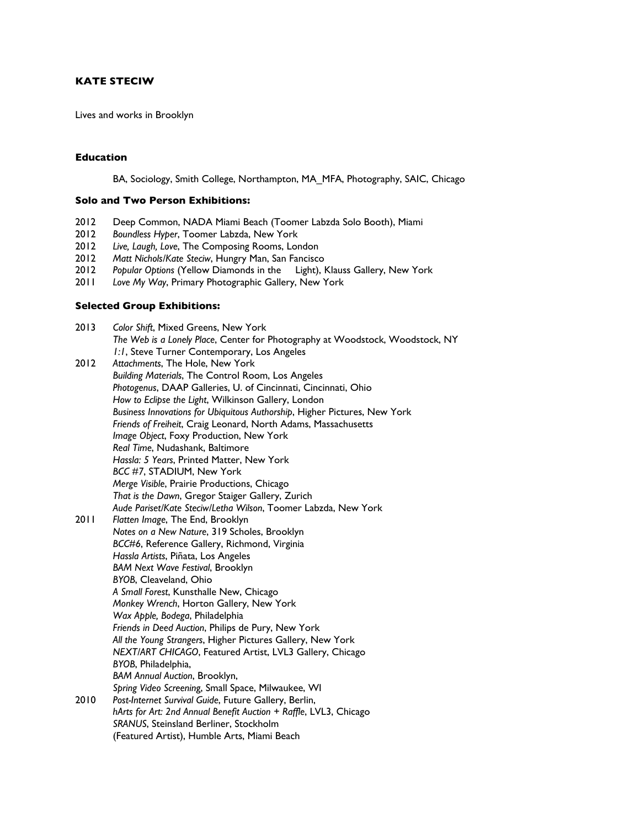# **KATE STECIW**

Lives and works in Brooklyn

### **Education**

BA, Sociology, Smith College, Northampton, MA\_MFA, Photography, SAIC, Chicago

#### **Solo and Two Person Exhibitions:**

- 2012 Deep Common, NADA Miami Beach (Toomer Labzda Solo Booth), Miami
- 2012 *Boundless Hyper*, Toomer Labzda, New York
- 
- 2012 *Live, Laugh, Love*, The Composing Rooms, London 2012 *Matt Nichols/Kate Steciw*, Hungry Man, San Fancisco
- 2012 *Popular Options* (Yellow Diamonds in the Light), Klauss Gallery, New York
- 2011 *Love My Way*, Primary Photographic Gallery, New York

## **Selected Group Exhibitions:**

| 2013 | Color Shift, Mixed Greens, New York                                           |
|------|-------------------------------------------------------------------------------|
|      | The Web is a Lonely Place, Center for Photography at Woodstock, Woodstock, NY |
|      | 1:1, Steve Turner Contemporary, Los Angeles                                   |
| 2012 | Attachments, The Hole, New York                                               |
|      | Building Materials, The Control Room, Los Angeles                             |
|      | Photogenus, DAAP Galleries, U. of Cincinnati, Cincinnati, Ohio                |
|      | How to Eclipse the Light, Wilkinson Gallery, London                           |
|      | Business Innovations for Ubiquitous Authorship, Higher Pictures, New York     |
|      | Friends of Freiheit, Craig Leonard, North Adams, Massachusetts                |
|      | Image Object, Foxy Production, New York                                       |
|      | Real Time, Nudashank, Baltimore                                               |
|      | Hassla: 5 Years, Printed Matter, New York                                     |
|      | BCC #7, STADIUM, New York                                                     |
|      | Merge Visible, Prairie Productions, Chicago                                   |
|      | That is the Dawn, Gregor Staiger Gallery, Zurich                              |
|      | Aude Pariset/Kate Steciw/Letha Wilson, Toomer Labzda, New York                |
| 2011 | Flatten Image, The End, Brooklyn                                              |
|      | Notes on a New Nature, 319 Scholes, Brooklyn                                  |
|      | BCC#6, Reference Gallery, Richmond, Virginia                                  |
|      | Hassla Artists, Piñata, Los Angeles                                           |
|      | <b>BAM Next Wave Festival, Brooklyn</b>                                       |
|      | BYOB, Cleaveland, Ohio                                                        |
|      | A Small Forest, Kunsthalle New, Chicago                                       |
|      | Monkey Wrench, Horton Gallery, New York                                       |
|      | Wax Apple, Bodega, Philadelphia                                               |
|      | Friends in Deed Auction, Philips de Pury, New York                            |
|      | All the Young Strangers, Higher Pictures Gallery, New York                    |
|      | NEXT/ART CHICAGO, Featured Artist, LVL3 Gallery, Chicago                      |
|      | BYOB, Philadelphia,                                                           |
|      | <b>BAM Annual Auction, Brooklyn,</b>                                          |
|      | Spring Video Screening, Small Space, Milwaukee, WI                            |
| 2010 | Post-Internet Survival Guide, Future Gallery, Berlin,                         |
|      | hArts for Art: 2nd Annual Benefit Auction + Raffle, LVL3, Chicago             |
|      | SRANUS, Steinsland Berliner, Stockholm                                        |
|      | (Featured Artist), Humble Arts, Miami Beach                                   |